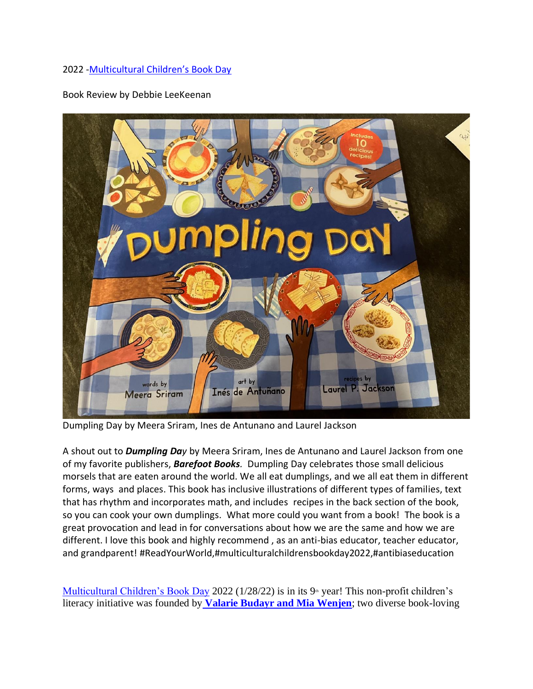## 2022 -[Multicultural Children's Book Day](https://multiculturalchildrensbookday.com/?fbclid=IwAR3WDy9VNaFzjNUPh_DB3ErzATnSIWjpXXAzKTpePPdVxiWna9F5xkFDhRY)

Book Review by Debbie LeeKeenan



Dumpling Day by Meera Sriram, Ines de Antunano and Laurel Jackson

A shout out to *Dumpling Day* by Meera Sriram, Ines de Antunano and Laurel Jackson from one of my favorite publishers, *Barefoot Books.* Dumpling Day celebrates those small delicious morsels that are eaten around the world. We all eat dumplings, and we all eat them in different forms, ways and places. This book has inclusive illustrations of different types of families, text that has rhythm and incorporates math, and includes recipes in the back section of the book, so you can cook your own dumplings. What more could you want from a book! The book is a great provocation and lead in for conversations about how we are the same and how we are different. I love this book and highly recommend , as an anti-bias educator, teacher educator, and grandparent! #ReadYourWorld,#multiculturalchildrensbookday2022,#antibiaseducation

[Multicultural Children's Book Day](http://multiculturalchildrensbookday.com/) 2022 ( $1/28/22$ ) is in its  $9<sup>th</sup>$  year! This non-profit children's literacy initiative was founded by **[Valarie Budayr and Mia Wenjen](https://multiculturalchildrensbookday.com/about/co-founders/)**; two diverse book-loving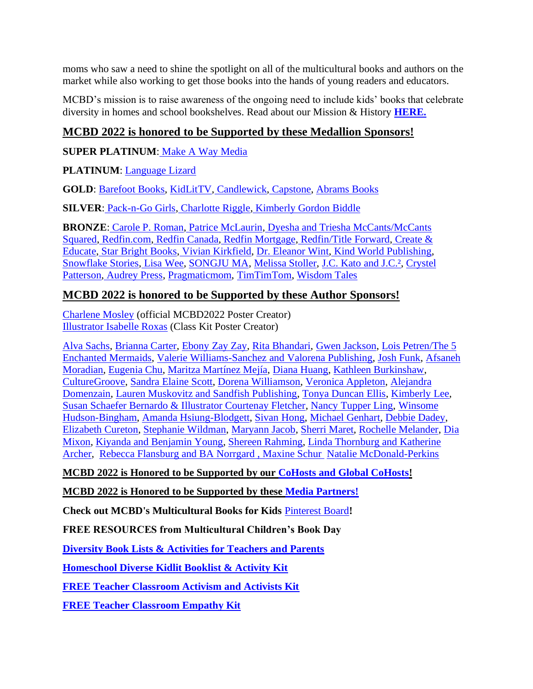moms who saw a need to shine the spotlight on all of the multicultural books and authors on the market while also working to get those books into the hands of young readers and educators.

MCBD's mission is to raise awareness of the ongoing need to include kids' books that celebrate diversity in homes and school bookshelves. Read about our Mission & History **[HERE.](https://multiculturalchildrensbookday.com/about/mission/)**

## **MCBD 2022 is honored to be Supported by these Medallion Sponsors!**

**SUPER PLATINUM**: Make [A Way Media](https://makeawaymedia.com/)

**PLATINUM**: [Language Lizard](https://www.languagelizard.com/)

**GOLD**: [Barefoot Books,](https://www.barefootbooks.com/) [KidLitTV,](https://www.kidlit.tv/) [Candlewick,](https://www.candlewick.com/) [Capstone,](https://www.capstonepub.com/) [Abrams Books](https://www.abramsbooks.com/childrensfall2021preview/)

**SILVER**: [Pack-n-Go Girls,](https://packngogirls.com/) [Charlotte Riggle,](https://charlotteriggle.com/) [Kimberly Gordon Biddle](https://pinkpearlwriting.com/) 

**BRONZE**: [Carole P. Roman,](http://www.caroleproman.com/) [Patrice McLaurin,](https://patricemclaurin.com/) [Dyesha and Triesha McCants/McCants](https://www.tarahanddarah.com/)  [Squared,](https://www.tarahanddarah.com/) [Redfin.com,](https://www.redfin.com/houses-near-me) [Redfin Canada,](https://www.redfin.ca/) [Redfin Mortgage,](https://www.redfinmortgage.com/mortgage) [Redfin/Title Forward,](https://www.titleforward.com/) [Create &](https://linktr.ee/createandeducatesolutions)  [Educate,](https://linktr.ee/createandeducatesolutions) [Star Bright Books,](https://starbrightbooks.com/index.php) [Vivian Kirkfield,](https://www.instagram.com/viviankirkfield/) [Dr. Eleanor Wint,](https://eawpublications.com/) [Kind World Publishing,](https://kindworldpublishing.com/about/) [Snowflake Stories,](https://www.snowflakestories.com/) [Lisa Wee,](https://www.lisawee12.com/) [SONGJU MA,](https://songjumadaemicke.com/) [Melissa Stoller,](https://www.melissastoller.com/) [J.C. Kato and J.C.²,](http://jckato.com/) [Crystel](https://www.crystelpatterson.com/)  [Patterson,](https://www.crystelpatterson.com/) [Audrey Press,](https://audreypress.com/) [Pragmaticmom,](https://www.pragmaticmom.com/) [TimTimTom,](https://timtimtom.com/?v=7516fd43adaa) [Wisdom Tales](http://www.wisdomtalespress.com/index.shtml)

## **MCBD 2022 is honored to be Supported by these Author Sponsors!**

[Charlene Mosley](https://www.charlenemosley.com/) (official MCBD2022 Poster Creator) [Illustrator Isabelle Roxas](https://flyingeyebooks.com/creator/isabel-roxas/) (Class Kit Poster Creator)

[Alva Sachs,](https://www.alvasachs.com/) [Brianna Carter,](https://www.positivelypenelope.com/) [Ebony Zay Zay,](https://www.zayzayco.com/) [Rita Bhandari,](https://www.instagram.com/acecompeers/) [Gwen Jackson,](https://www.gwenjacksonstories.com/about-the-book.html) [Lois Petren/The 5](https://www.fiveenchantedmermaids.com/)  [Enchanted Mermaids,](https://www.fiveenchantedmermaids.com/) [Valerie Williams-Sanchez and Valorena Publishing,](https://www.cocoakidscollectionbooks.com/about.html) [Josh Funk,](https://www.joshfunkbooks.com/) [Afsaneh](http://www.afsanehmoradian.com/)  [Moradian,](http://www.afsanehmoradian.com/) [Eugenia Chu,](http://eugeniachu.com/) [Maritza Martínez Mejía,](http://www.luzdelmes.com/) [Diana Huang,](http://www.dianahuang.com/) [Kathleen Burkinshaw,](https://kathleenburkinshaw.wordpress.com/) [CultureGroove,](https://www.culturegroove.com/YouTube/) [Sandra Elaine Scott,](http://www.sandraelainescott.com/) [Dorena Williamson,](https://dorenawilliamson.com/) [Veronica Appleton,](http://applevillebooks.com/) [Alejandra](https://www.forall-paratodos.net/)  [Domenzain,](https://www.forall-paratodos.net/) [Lauren Muskovitz and Sandfish Publishing,](https://www.laurenranalli.com/) [Tonya Duncan Ellis,](https://tonyaduncanellis.com/) [Kimberly Lee,](https://www.kimcleewrites.com/) [Susan Schaefer Bernardo & Illustrator Courtenay Fletcher,](https://www.innerflowerchild.com/) [Nancy Tupper Ling, Winsome](https://www.nancytupperling.com/)  [Hudson-Bingham,](https://www.nancytupperling.com/) [Amanda Hsiung-Blodgett,](https://www.misspandachinese.com/) [Sivan Hong,](https://sivanhong.com/) [Michael Genhart,](https://michaelgenhart.com/) [Debbie Dadey,](http://debbiedadey.com/Books/index.php?gid=136) [Elizabeth Cureton,](https://www.facebook.com/elizabethcuretonmd/) [Stephanie Wildman,](https://www.stephaniewildman.com/) [Maryann Jacob,](https://www.maryannjacobmacias.com/) [Sherri Maret,](http://sherrimaret.com/) [Rochelle Melander,](http://rochellemelander.com/) [Dia](https://www.el-mundo-mixon.com/)  [Mixon,](https://www.el-mundo-mixon.com/) [Kiyanda and Benjamin Young,](https://www.twinpowerbooks.com/) [Shereen Rahming,](https://readandglowbooks.com/) [Linda Thornburg and Katherine](https://books.google.com/books/about/Snorkel_McCorkle_and_the_Lost_Flipper.html?id=6N2ZzQEACAAJ)  [Archer,](https://books.google.com/books/about/Snorkel_McCorkle_and_the_Lost_Flipper.html?id=6N2ZzQEACAAJ) [Rebecca Flansburg and BA Norrgard ,](https://audreypress.com/portfolio/sissy-goes-tiny-by-rebecca-flansburg-and-ba-norrgard/) [Maxine Schur](https://maxineroseschur.com/) [Natalie McDonald-Perkins](https://www.natalieperkins.org/more-info)

## **MCBD 2022 is Honored to be Supported by our [CoHosts and Global CoHosts!](https://multiculturalchildrensbookday.com/about/co-hosts/)**

**MCBD 2022 is Honored to be Supported by these [Media Partners!](https://multiculturalchildrensbookday.com/media-partners/)**

**Check out MCBD's Multicultural Books for Kids** [Pinterest Board](https://www.pinterest.com/pragmaticmom/multicultural-books-for-kids/)**!**

**FREE RESOURCES from Multicultural Children's Book Day**

**[Diversity Book Lists & Activities for Teachers and Parents](https://multiculturalchildrensbookday.com/multicultural-reading-resources/diversity-book-lists-for-kids/)**

**[Homeschool Diverse Kidlit Booklist & Activity Kit](https://multiculturalchildrensbookday.com/multicultural-reading-resources/diverse-kidlit-booklist-activity-kit-for-homeschoolers/)**

**[FREE Teacher Classroom Activism and Activists Kit](https://multiculturalchildrensbookday.com/free-teacher-classroom-activism-and-activists-kit/)**

**[FREE Teacher Classroom Empathy Kit](https://multiculturalchildrensbookday.com/teacher-classroom-empathy-kit/)**